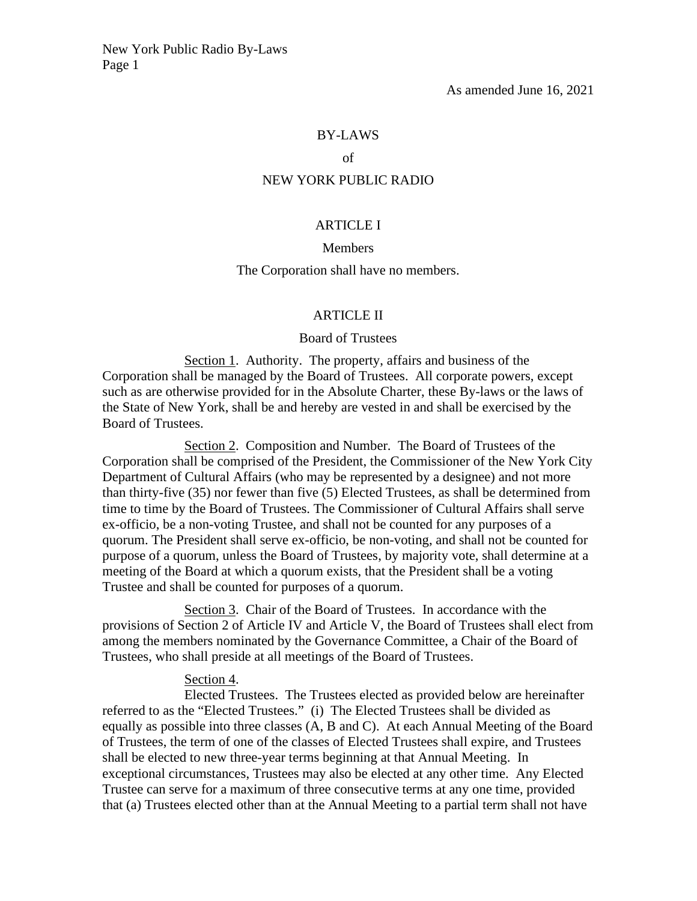### BY-LAWS

# of

#### NEW YORK PUBLIC RADIO

#### ARTICLE I

#### Members

### The Corporation shall have no members.

### ARTICLE II

## Board of Trustees

Section 1. Authority. The property, affairs and business of the Corporation shall be managed by the Board of Trustees. All corporate powers, except such as are otherwise provided for in the Absolute Charter, these By-laws or the laws of the State of New York, shall be and hereby are vested in and shall be exercised by the Board of Trustees.

Section 2. Composition and Number. The Board of Trustees of the Corporation shall be comprised of the President, the Commissioner of the New York City Department of Cultural Affairs (who may be represented by a designee) and not more than thirty-five (35) nor fewer than five (5) Elected Trustees, as shall be determined from time to time by the Board of Trustees. The Commissioner of Cultural Affairs shall serve ex-officio, be a non-voting Trustee, and shall not be counted for any purposes of a quorum. The President shall serve ex-officio, be non-voting, and shall not be counted for purpose of a quorum, unless the Board of Trustees, by majority vote, shall determine at a meeting of the Board at which a quorum exists, that the President shall be a voting Trustee and shall be counted for purposes of a quorum.

Section 3. Chair of the Board of Trustees. In accordance with the provisions of Section 2 of Article IV and Article V, the Board of Trustees shall elect from among the members nominated by the Governance Committee, a Chair of the Board of Trustees, who shall preside at all meetings of the Board of Trustees.

# Section 4.

Elected Trustees. The Trustees elected as provided below are hereinafter referred to as the "Elected Trustees." (i) The Elected Trustees shall be divided as equally as possible into three classes (A, B and C). At each Annual Meeting of the Board of Trustees, the term of one of the classes of Elected Trustees shall expire, and Trustees shall be elected to new three-year terms beginning at that Annual Meeting. In exceptional circumstances, Trustees may also be elected at any other time. Any Elected Trustee can serve for a maximum of three consecutive terms at any one time, provided that (a) Trustees elected other than at the Annual Meeting to a partial term shall not have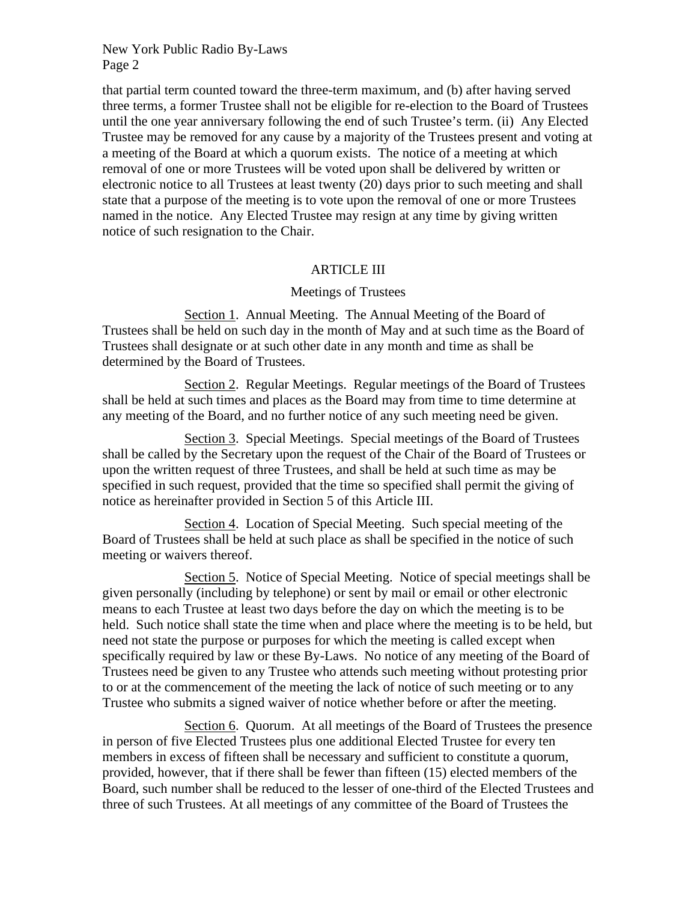that partial term counted toward the three-term maximum, and (b) after having served three terms, a former Trustee shall not be eligible for re-election to the Board of Trustees until the one year anniversary following the end of such Trustee's term. (ii) Any Elected Trustee may be removed for any cause by a majority of the Trustees present and voting at a meeting of the Board at which a quorum exists. The notice of a meeting at which removal of one or more Trustees will be voted upon shall be delivered by written or electronic notice to all Trustees at least twenty (20) days prior to such meeting and shall state that a purpose of the meeting is to vote upon the removal of one or more Trustees named in the notice. Any Elected Trustee may resign at any time by giving written notice of such resignation to the Chair.

# ARTICLE III

## Meetings of Trustees

Section 1. Annual Meeting. The Annual Meeting of the Board of Trustees shall be held on such day in the month of May and at such time as the Board of Trustees shall designate or at such other date in any month and time as shall be determined by the Board of Trustees.

Section 2. Regular Meetings. Regular meetings of the Board of Trustees shall be held at such times and places as the Board may from time to time determine at any meeting of the Board, and no further notice of any such meeting need be given.

Section 3. Special Meetings. Special meetings of the Board of Trustees shall be called by the Secretary upon the request of the Chair of the Board of Trustees or upon the written request of three Trustees, and shall be held at such time as may be specified in such request, provided that the time so specified shall permit the giving of notice as hereinafter provided in Section 5 of this Article III.

Section 4. Location of Special Meeting. Such special meeting of the Board of Trustees shall be held at such place as shall be specified in the notice of such meeting or waivers thereof.

Section 5. Notice of Special Meeting. Notice of special meetings shall be given personally (including by telephone) or sent by mail or email or other electronic means to each Trustee at least two days before the day on which the meeting is to be held. Such notice shall state the time when and place where the meeting is to be held, but need not state the purpose or purposes for which the meeting is called except when specifically required by law or these By-Laws. No notice of any meeting of the Board of Trustees need be given to any Trustee who attends such meeting without protesting prior to or at the commencement of the meeting the lack of notice of such meeting or to any Trustee who submits a signed waiver of notice whether before or after the meeting.

Section 6. Quorum. At all meetings of the Board of Trustees the presence in person of five Elected Trustees plus one additional Elected Trustee for every ten members in excess of fifteen shall be necessary and sufficient to constitute a quorum, provided, however, that if there shall be fewer than fifteen (15) elected members of the Board, such number shall be reduced to the lesser of one-third of the Elected Trustees and three of such Trustees. At all meetings of any committee of the Board of Trustees the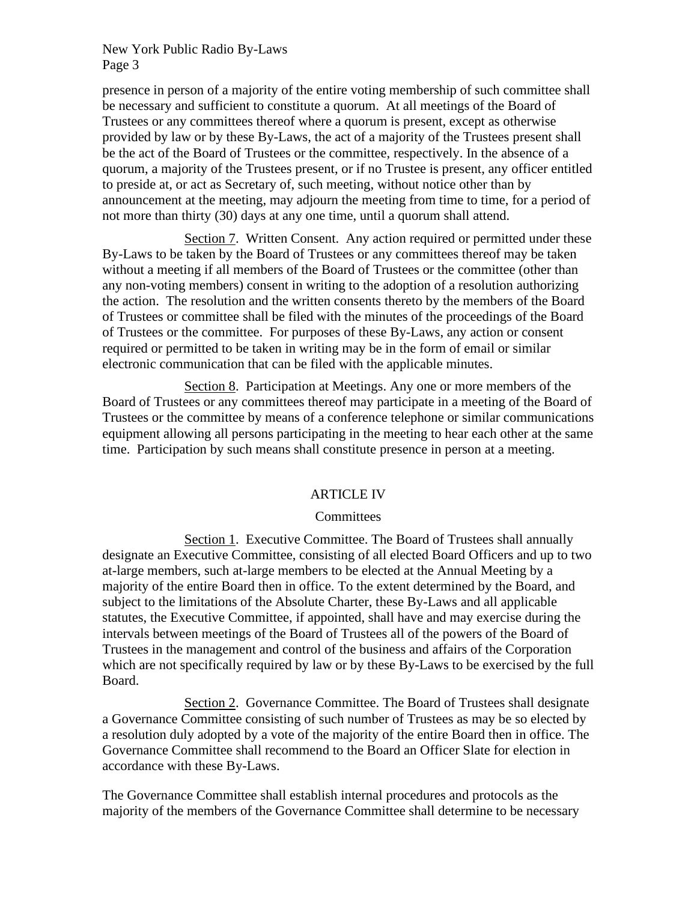presence in person of a majority of the entire voting membership of such committee shall be necessary and sufficient to constitute a quorum. At all meetings of the Board of Trustees or any committees thereof where a quorum is present, except as otherwise provided by law or by these By-Laws, the act of a majority of the Trustees present shall be the act of the Board of Trustees or the committee, respectively. In the absence of a quorum, a majority of the Trustees present, or if no Trustee is present, any officer entitled to preside at, or act as Secretary of, such meeting, without notice other than by announcement at the meeting, may adjourn the meeting from time to time, for a period of not more than thirty (30) days at any one time, until a quorum shall attend.

Section 7. Written Consent. Any action required or permitted under these By-Laws to be taken by the Board of Trustees or any committees thereof may be taken without a meeting if all members of the Board of Trustees or the committee (other than any non-voting members) consent in writing to the adoption of a resolution authorizing the action. The resolution and the written consents thereto by the members of the Board of Trustees or committee shall be filed with the minutes of the proceedings of the Board of Trustees or the committee. For purposes of these By-Laws, any action or consent required or permitted to be taken in writing may be in the form of email or similar electronic communication that can be filed with the applicable minutes.

Section 8. Participation at Meetings. Any one or more members of the Board of Trustees or any committees thereof may participate in a meeting of the Board of Trustees or the committee by means of a conference telephone or similar communications equipment allowing all persons participating in the meeting to hear each other at the same time. Participation by such means shall constitute presence in person at a meeting.

# ARTICLE IV

# **Committees**

Section 1. Executive Committee. The Board of Trustees shall annually designate an Executive Committee, consisting of all elected Board Officers and up to two at-large members, such at-large members to be elected at the Annual Meeting by a majority of the entire Board then in office. To the extent determined by the Board, and subject to the limitations of the Absolute Charter, these By-Laws and all applicable statutes, the Executive Committee, if appointed, shall have and may exercise during the intervals between meetings of the Board of Trustees all of the powers of the Board of Trustees in the management and control of the business and affairs of the Corporation which are not specifically required by law or by these By-Laws to be exercised by the full Board.

Section 2. Governance Committee. The Board of Trustees shall designate a Governance Committee consisting of such number of Trustees as may be so elected by a resolution duly adopted by a vote of the majority of the entire Board then in office. The Governance Committee shall recommend to the Board an Officer Slate for election in accordance with these By-Laws.

The Governance Committee shall establish internal procedures and protocols as the majority of the members of the Governance Committee shall determine to be necessary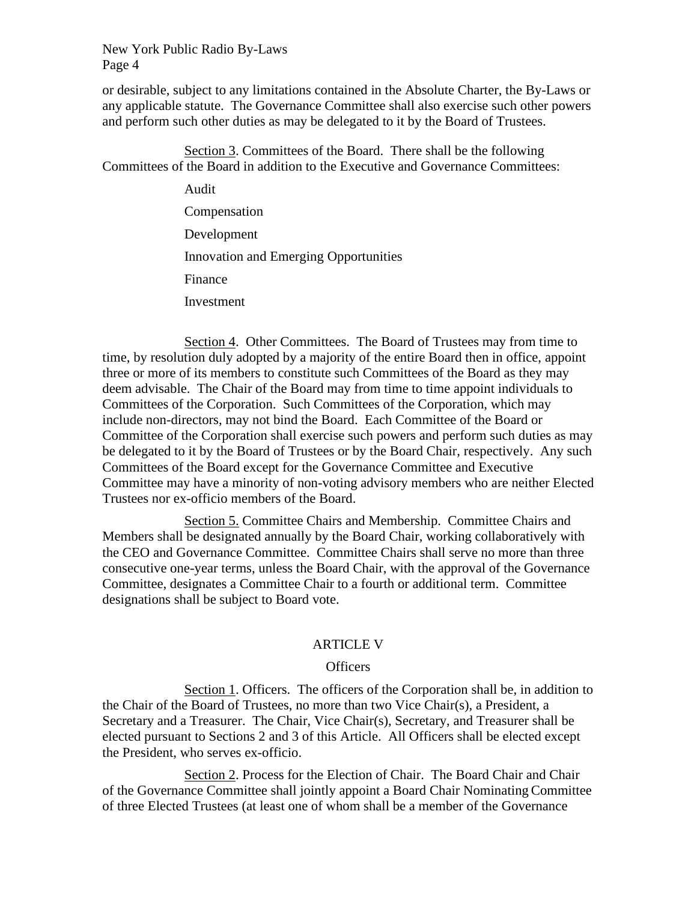or desirable, subject to any limitations contained in the Absolute Charter, the By-Laws or any applicable statute. The Governance Committee shall also exercise such other powers and perform such other duties as may be delegated to it by the Board of Trustees.

Section 3. Committees of the Board. There shall be the following Committees of the Board in addition to the Executive and Governance Committees:

> Audit Compensation Development Innovation and Emerging Opportunities Finance Investment

Section 4. Other Committees. The Board of Trustees may from time to time, by resolution duly adopted by a majority of the entire Board then in office, appoint three or more of its members to constitute such Committees of the Board as they may deem advisable. The Chair of the Board may from time to time appoint individuals to Committees of the Corporation. Such Committees of the Corporation, which may include non-directors, may not bind the Board. Each Committee of the Board or Committee of the Corporation shall exercise such powers and perform such duties as may be delegated to it by the Board of Trustees or by the Board Chair, respectively. Any such Committees of the Board except for the Governance Committee and Executive Committee may have a minority of non-voting advisory members who are neither Elected Trustees nor ex-officio members of the Board.

Section 5. Committee Chairs and Membership. Committee Chairs and Members shall be designated annually by the Board Chair, working collaboratively with the CEO and Governance Committee. Committee Chairs shall serve no more than three consecutive one-year terms, unless the Board Chair, with the approval of the Governance Committee, designates a Committee Chair to a fourth or additional term. Committee designations shall be subject to Board vote.

## ARTICLE V

## **Officers**

Section 1. Officers. The officers of the Corporation shall be, in addition to the Chair of the Board of Trustees, no more than two Vice Chair(s), a President, a Secretary and a Treasurer. The Chair, Vice Chair(s), Secretary, and Treasurer shall be elected pursuant to Sections 2 and 3 of this Article. All Officers shall be elected except the President, who serves ex-officio.

Section 2. Process for the Election of Chair. The Board Chair and Chair of the Governance Committee shall jointly appoint a Board Chair Nominating Committee of three Elected Trustees (at least one of whom shall be a member of the Governance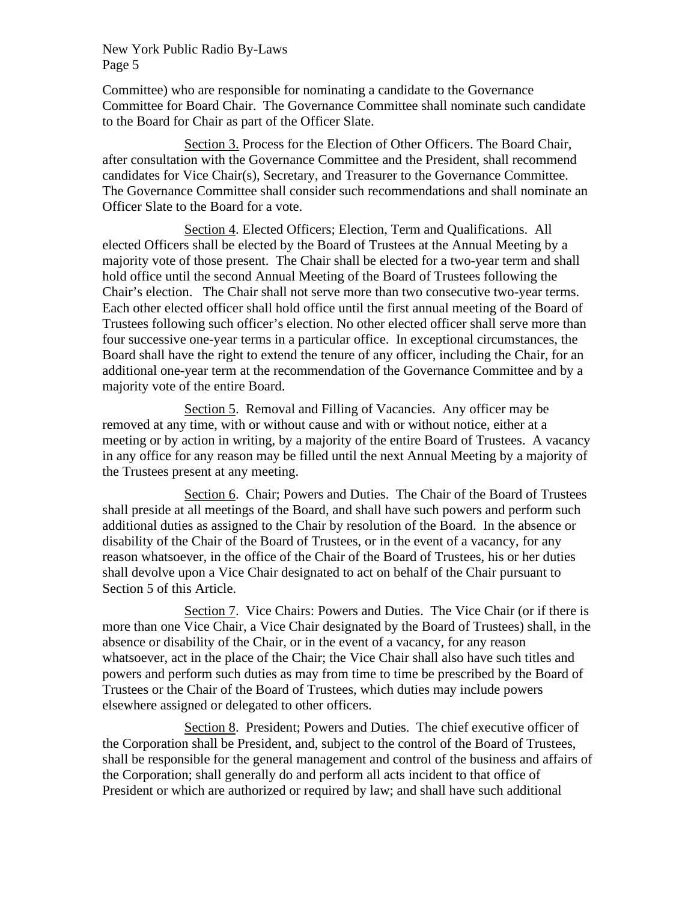Committee) who are responsible for nominating a candidate to the Governance Committee for Board Chair. The Governance Committee shall nominate such candidate to the Board for Chair as part of the Officer Slate.

Section 3. Process for the Election of Other Officers. The Board Chair, after consultation with the Governance Committee and the President, shall recommend candidates for Vice Chair(s), Secretary, and Treasurer to the Governance Committee. The Governance Committee shall consider such recommendations and shall nominate an Officer Slate to the Board for a vote.

Section 4. Elected Officers; Election, Term and Qualifications. All elected Officers shall be elected by the Board of Trustees at the Annual Meeting by a majority vote of those present. The Chair shall be elected for a two-year term and shall hold office until the second Annual Meeting of the Board of Trustees following the Chair's election. The Chair shall not serve more than two consecutive two-year terms. Each other elected officer shall hold office until the first annual meeting of the Board of Trustees following such officer's election. No other elected officer shall serve more than four successive one-year terms in a particular office. In exceptional circumstances, the Board shall have the right to extend the tenure of any officer, including the Chair, for an additional one-year term at the recommendation of the Governance Committee and by a majority vote of the entire Board.

Section 5. Removal and Filling of Vacancies. Any officer may be removed at any time, with or without cause and with or without notice, either at a meeting or by action in writing, by a majority of the entire Board of Trustees. A vacancy in any office for any reason may be filled until the next Annual Meeting by a majority of the Trustees present at any meeting.

Section 6. Chair; Powers and Duties. The Chair of the Board of Trustees shall preside at all meetings of the Board, and shall have such powers and perform such additional duties as assigned to the Chair by resolution of the Board. In the absence or disability of the Chair of the Board of Trustees, or in the event of a vacancy, for any reason whatsoever, in the office of the Chair of the Board of Trustees, his or her duties shall devolve upon a Vice Chair designated to act on behalf of the Chair pursuant to Section 5 of this Article.

Section 7. Vice Chairs: Powers and Duties. The Vice Chair (or if there is more than one Vice Chair, a Vice Chair designated by the Board of Trustees) shall, in the absence or disability of the Chair, or in the event of a vacancy, for any reason whatsoever, act in the place of the Chair; the Vice Chair shall also have such titles and powers and perform such duties as may from time to time be prescribed by the Board of Trustees or the Chair of the Board of Trustees, which duties may include powers elsewhere assigned or delegated to other officers.

Section 8. President; Powers and Duties. The chief executive officer of the Corporation shall be President, and, subject to the control of the Board of Trustees, shall be responsible for the general management and control of the business and affairs of the Corporation; shall generally do and perform all acts incident to that office of President or which are authorized or required by law; and shall have such additional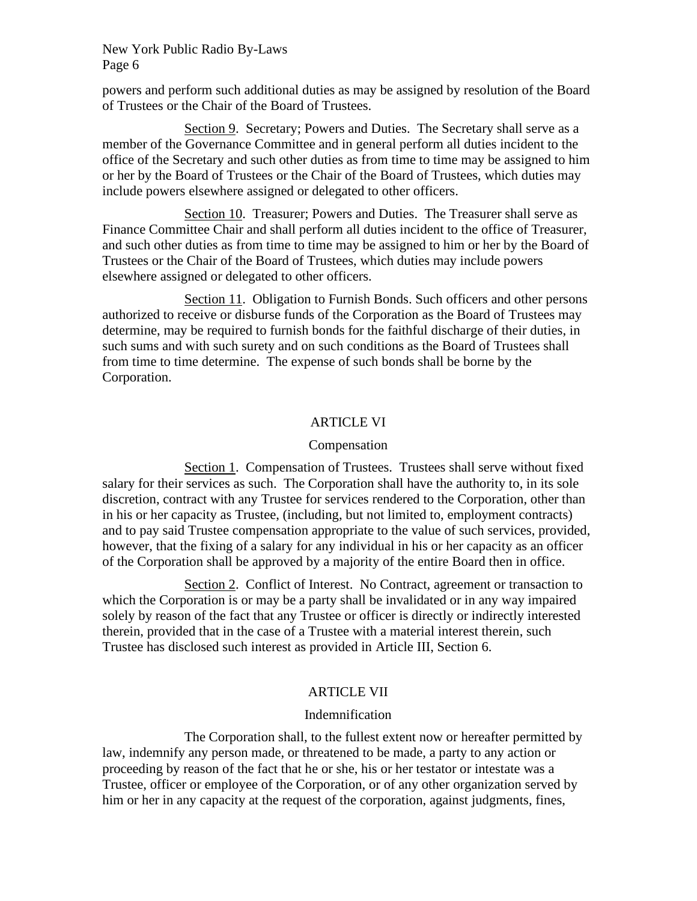powers and perform such additional duties as may be assigned by resolution of the Board of Trustees or the Chair of the Board of Trustees.

Section 9. Secretary; Powers and Duties. The Secretary shall serve as a member of the Governance Committee and in general perform all duties incident to the office of the Secretary and such other duties as from time to time may be assigned to him or her by the Board of Trustees or the Chair of the Board of Trustees, which duties may include powers elsewhere assigned or delegated to other officers.

Section 10. Treasurer; Powers and Duties. The Treasurer shall serve as Finance Committee Chair and shall perform all duties incident to the office of Treasurer, and such other duties as from time to time may be assigned to him or her by the Board of Trustees or the Chair of the Board of Trustees, which duties may include powers elsewhere assigned or delegated to other officers.

Section 11. Obligation to Furnish Bonds. Such officers and other persons authorized to receive or disburse funds of the Corporation as the Board of Trustees may determine, may be required to furnish bonds for the faithful discharge of their duties, in such sums and with such surety and on such conditions as the Board of Trustees shall from time to time determine. The expense of such bonds shall be borne by the Corporation.

## ARTICLE VI

## Compensation

Section 1. Compensation of Trustees. Trustees shall serve without fixed salary for their services as such. The Corporation shall have the authority to, in its sole discretion, contract with any Trustee for services rendered to the Corporation, other than in his or her capacity as Trustee, (including, but not limited to, employment contracts) and to pay said Trustee compensation appropriate to the value of such services, provided, however, that the fixing of a salary for any individual in his or her capacity as an officer of the Corporation shall be approved by a majority of the entire Board then in office.

Section 2. Conflict of Interest. No Contract, agreement or transaction to which the Corporation is or may be a party shall be invalidated or in any way impaired solely by reason of the fact that any Trustee or officer is directly or indirectly interested therein, provided that in the case of a Trustee with a material interest therein, such Trustee has disclosed such interest as provided in Article III, Section 6.

# ARTICLE VII

# Indemnification

The Corporation shall, to the fullest extent now or hereafter permitted by law, indemnify any person made, or threatened to be made, a party to any action or proceeding by reason of the fact that he or she, his or her testator or intestate was a Trustee, officer or employee of the Corporation, or of any other organization served by him or her in any capacity at the request of the corporation, against judgments, fines,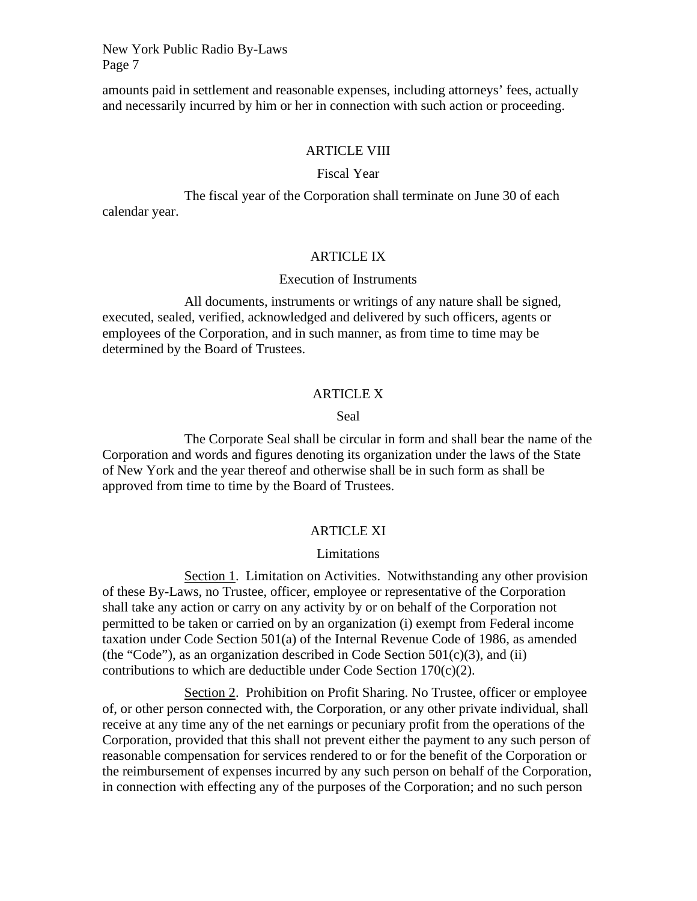amounts paid in settlement and reasonable expenses, including attorneys' fees, actually and necessarily incurred by him or her in connection with such action or proceeding.

#### ARTICLE VIII

#### Fiscal Year

The fiscal year of the Corporation shall terminate on June 30 of each calendar year.

# ARTICLE IX

#### Execution of Instruments

All documents, instruments or writings of any nature shall be signed, executed, sealed, verified, acknowledged and delivered by such officers, agents or employees of the Corporation, and in such manner, as from time to time may be determined by the Board of Trustees.

## ARTICLE X

### Seal

The Corporate Seal shall be circular in form and shall bear the name of the Corporation and words and figures denoting its organization under the laws of the State of New York and the year thereof and otherwise shall be in such form as shall be approved from time to time by the Board of Trustees.

## ARTICLE XI

## Limitations

Section 1. Limitation on Activities. Notwithstanding any other provision of these By-Laws, no Trustee, officer, employee or representative of the Corporation shall take any action or carry on any activity by or on behalf of the Corporation not permitted to be taken or carried on by an organization (i) exempt from Federal income taxation under Code Section 501(a) of the Internal Revenue Code of 1986, as amended (the "Code"), as an organization described in Code Section  $501(c)(3)$ , and (ii) contributions to which are deductible under Code Section  $170(c)(2)$ .

Section 2. Prohibition on Profit Sharing. No Trustee, officer or employee of, or other person connected with, the Corporation, or any other private individual, shall receive at any time any of the net earnings or pecuniary profit from the operations of the Corporation, provided that this shall not prevent either the payment to any such person of reasonable compensation for services rendered to or for the benefit of the Corporation or the reimbursement of expenses incurred by any such person on behalf of the Corporation, in connection with effecting any of the purposes of the Corporation; and no such person